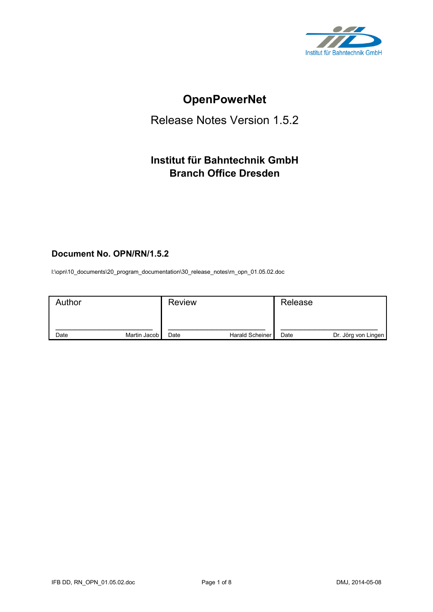

# **OpenPowerNet**

## Release Notes Version 1.5.2

## **Institut für Bahntechnik GmbH Branch Office Dresden**

## **Document No. OPN/RN/1.5.2**

l:\opn\10\_documents\20\_program\_documentation\30\_release\_notes\rn\_opn\_01.05.02.doc

| Author |              | <b>Review</b> |                 | Release |                     |
|--------|--------------|---------------|-----------------|---------|---------------------|
| Date   | Martin Jacob | Date          | Harald Scheiner | Date    | Dr. Jörg von Lingen |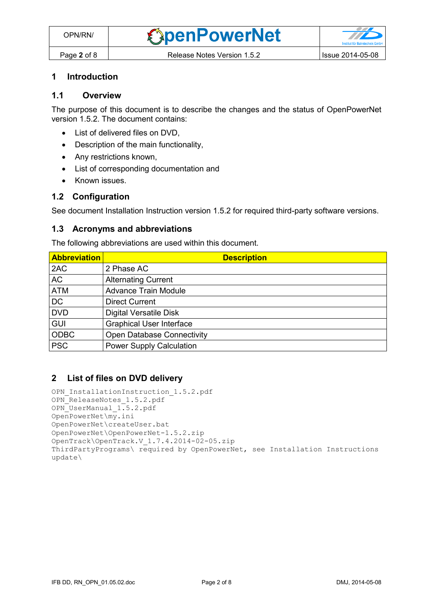#### **1 Introduction**

## **1.1 Overview**

The purpose of this document is to describe the changes and the status of OpenPowerNet version 1.5.2. The document contains:

- List of delivered files on DVD,
- Description of the main functionality,
- Any restrictions known,
- List of corresponding documentation and
- Known issues.

#### **1.2 Configuration**

See document Installation Instruction version 1.5.2 for required third-party software versions.

#### **1.3 Acronyms and abbreviations**

The following abbreviations are used within this document.

| <b>Abbreviation</b> | <b>Description</b>                |
|---------------------|-----------------------------------|
| 2AC                 | 2 Phase AC                        |
| <b>AC</b>           | <b>Alternating Current</b>        |
| <b>ATM</b>          | <b>Advance Train Module</b>       |
| D <sub>C</sub>      | <b>Direct Current</b>             |
| <b>DVD</b>          | <b>Digital Versatile Disk</b>     |
| <b>GUI</b>          | <b>Graphical User Interface</b>   |
| <b>ODBC</b>         | <b>Open Database Connectivity</b> |
| <b>PSC</b>          | <b>Power Supply Calculation</b>   |

#### **2 List of files on DVD delivery**

```
OPN InstallationInstruction 1.5.2.pdf
OPN_ReleaseNotes_1.5.2.pdf
OPN_UserManual_1.5.2.pdf
OpenPowerNet\my.ini
OpenPowerNet\createUser.bat
OpenPowerNet\OpenPowerNet-1.5.2.zip
OpenTrack\OpenTrack.V_1.7.4.2014-02-05.zip
ThirdPartyPrograms\ required by OpenPowerNet, see Installation Instructions
update\
```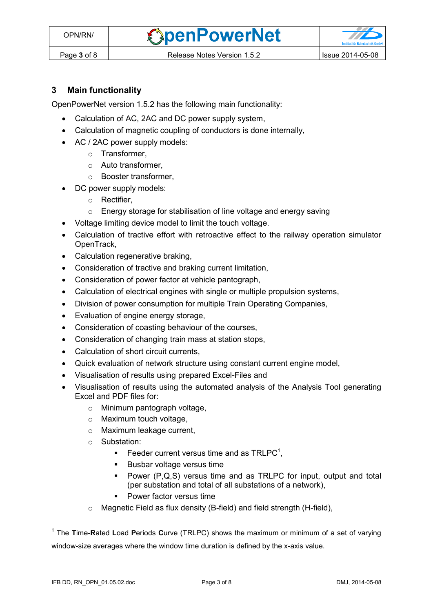**OpenPowerNet** 



## **3 Main functionality**

OpenPowerNet version 1.5.2 has the following main functionality:

- Calculation of AC, 2AC and DC power supply system,
- Calculation of magnetic coupling of conductors is done internally,
- AC / 2AC power supply models:
	- o Transformer,
	- o Auto transformer,
	- o Booster transformer,
- DC power supply models:
	- o Rectifier,
	- o Energy storage for stabilisation of line voltage and energy saving
- Voltage limiting device model to limit the touch voltage.
- Calculation of tractive effort with retroactive effect to the railway operation simulator OpenTrack,
- Calculation regenerative braking,
- Consideration of tractive and braking current limitation,
- Consideration of power factor at vehicle pantograph,
- Calculation of electrical engines with single or multiple propulsion systems,
- Division of power consumption for multiple Train Operating Companies,
- Evaluation of engine energy storage,
- Consideration of coasting behaviour of the courses,
- Consideration of changing train mass at station stops,
- Calculation of short circuit currents,
- Quick evaluation of network structure using constant current engine model,
- Visualisation of results using prepared Excel-Files and
- <span id="page-2-0"></span> Visualisation of results using the automated analysis of the Analysis Tool generating Excel and PDF files for:
	- o Minimum pantograph voltage,
	- o Maximum touch voltage,
	- o Maximum leakage current,
	- o Substation:
		- Feeder current versus time and as  $TRLPC<sup>1</sup>$ ,
		- **Busbar voltage versus time**
		- Power (P,Q,S) versus time and as TRLPC for input, output and total (per substation and total of all substations of a network),
		- **•** Power factor versus time
	- o Magnetic Field as flux density (B-field) and field strength (H-field),

 $\overline{a}$ 

<sup>1</sup> The **T**ime-**R**ated **L**oad **P**eriods **C**urve (TRLPC) shows the maximum or minimum of a set of varying window-size averages where the window time duration is defined by the x-axis value.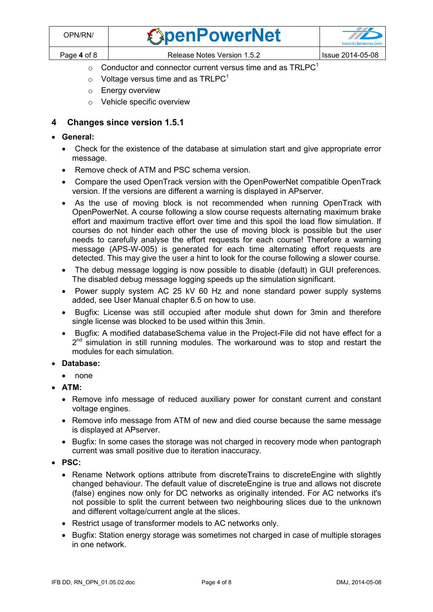| OPN/RN/     | <b><i><u>SpenPowerNet</u></i></b> | <u>a shekara ta 1999 na shekara ta 1999 na shekara ta 1999 na shekara ta 1999 na shekara ta 1999 na shekara ta 1999 na shekara ta 1999 na shekara ta 1999 na shekara ta 1999 na shekara ta 1999 na shekara ta 1999 na shekara ta</u><br><b>TEXT</b> |
|-------------|-----------------------------------|-----------------------------------------------------------------------------------------------------------------------------------------------------------------------------------------------------------------------------------------------------|
| Page 4 of 8 | Release Notes Version 1.5.2       | Issue 2014-05-08                                                                                                                                                                                                                                    |

- $\circ$  [C](#page-2-0)onductor and connector current versus time and as TRLPC<sup>1</sup>
- $\circ$  Voltage versus time and as TRLPC<sup>[1](#page-2-0)</sup>
- o Energy overview
- o Vehicle specific overview

### **4 Changes since version 1.5.1**

- **General:**
	- Check for the existence of the database at simulation start and give appropriate error message.
	- Remove check of ATM and PSC schema version.
	- Compare the used OpenTrack version with the OpenPowerNet compatible OpenTrack version. If the versions are different a warning is displayed in APserver.
	- As the use of moving block is not recommended when running OpenTrack with OpenPowerNet. A course following a slow course requests alternating maximum brake effort and maximum tractive effort over time and this spoil the load flow simulation. If courses do not hinder each other the use of moving block is possible but the user needs to carefully analyse the effort requests for each course! Therefore a warning message (APS-W-005) is generated for each time alternating effort requests are detected. This may give the user a hint to look for the course following a slower course.
	- The debug message logging is now possible to disable (default) in GUI preferences. The disabled debug message logging speeds up the simulation significant.
	- Power supply system AC 25 kV 60 Hz and none standard power supply systems added, see User Manual chapter 6.5 on how to use.
	- Bugfix: License was still occupied after module shut down for 3min and therefore single license was blocked to be used within this 3min.
	- Bugfix: A modified databaseSchema value in the Project-File did not have effect for a 2<sup>nd</sup> simulation in still running modules. The workaround was to stop and restart the modules for each simulation.
- **Database:**
	- none
- **ATM:**
	- Remove info message of reduced auxiliary power for constant current and constant voltage engines.
	- Remove info message from ATM of new and died course because the same message is displayed at APserver.
	- Bugfix: In some cases the storage was not charged in recovery mode when pantograph current was small positive due to iteration inaccuracy.
- **PSC:**
	- Rename Network options attribute from discreteTrains to discreteEngine with slightly changed behaviour. The default value of discreteEngine is true and allows not discrete (false) engines now only for DC networks as originally intended. For AC networks it's not possible to split the current between two neighbouring slices due to the unknown and different voltage/current angle at the slices.
	- Restrict usage of transformer models to AC networks only.
	- Bugfix: Station energy storage was sometimes not charged in case of multiple storages in one network.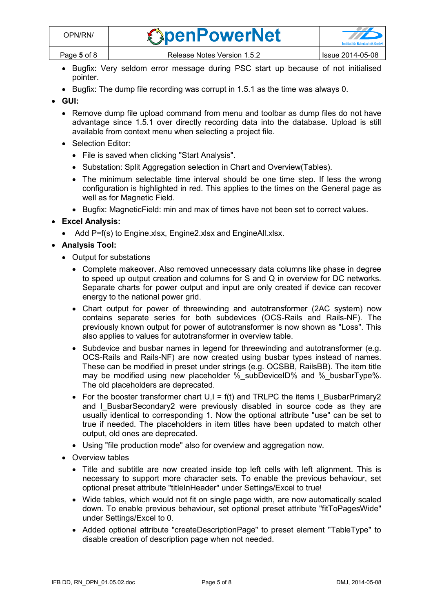- Bugfix: Very seldom error message during PSC start up because of not initialised pointer.
- $\bullet$  Bugfix: The dump file recording was corrupt in 1.5.1 as the time was always 0.
- **GUI:**
	- Remove dump file upload command from menu and toolbar as dump files do not have advantage since 1.5.1 over directly recording data into the database. Upload is still available from context menu when selecting a project file.
	- Selection Editor:
		- File is saved when clicking "Start Analysis".
		- Substation: Split Aggregation selection in Chart and Overview(Tables).
		- The minimum selectable time interval should be one time step. If less the wrong configuration is highlighted in red. This applies to the times on the General page as well as for Magnetic Field.
		- Bugfix: MagneticField: min and max of times have not been set to correct values.

## **Excel Analysis:**

• Add P=f(s) to Engine.xlsx, Engine2.xlsx and EngineAll.xlsx.

## **Analysis Tool:**

- Output for substations
	- Complete makeover. Also removed unnecessary data columns like phase in degree to speed up output creation and columns for S and Q in overview for DC networks. Separate charts for power output and input are only created if device can recover energy to the national power grid.
	- Chart output for power of threewinding and autotransformer (2AC system) now contains separate series for both subdevices (OCS-Rails and Rails-NF). The previously known output for power of autotransformer is now shown as "Loss". This also applies to values for autotransformer in overview table.
	- Subdevice and busbar names in legend for threewinding and autotransformer (e.g. OCS-Rails and Rails-NF) are now created using busbar types instead of names. These can be modified in preset under strings (e.g. OCSBB, RailsBB). The item title may be modified using new placeholder %\_subDeviceID% and %\_busbarType%. The old placeholders are deprecated.
	- For the booster transformer chart  $U, I = f(t)$  and TRLPC the items I\_BusbarPrimary2 and I BusbarSecondary2 were previously disabled in source code as they are usually identical to corresponding 1. Now the optional attribute "use" can be set to true if needed. The placeholders in item titles have been updated to match other output, old ones are deprecated.
	- Using "file production mode" also for overview and aggregation now.
- Overview tables
	- Title and subtitle are now created inside top left cells with left alignment. This is necessary to support more character sets. To enable the previous behaviour, set optional preset attribute "titleInHeader" under Settings/Excel to true!
	- Wide tables, which would not fit on single page width, are now automatically scaled down. To enable previous behaviour, set optional preset attribute "fitToPagesWide" under Settings/Excel to 0.
	- Added optional attribute "createDescriptionPage" to preset element "TableType" to disable creation of description page when not needed.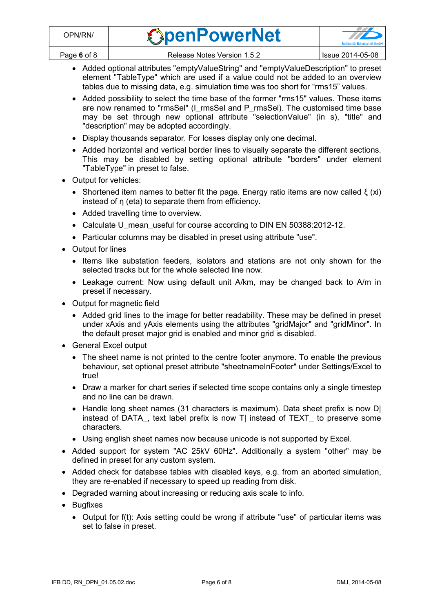| OPN/RN/     | <b><i><u>ExpenPowerNet</u></i></b> | $\sim$<br><b>Institut für Bahntechnik GmbH</b> |
|-------------|------------------------------------|------------------------------------------------|
| Page 6 of 8 | Release Notes Version 1.5.2        | <b>Issue 2014-05-08</b>                        |

- Added optional attributes "emptyValueString" and "emptyValueDescription" to preset element "TableType" which are used if a value could not be added to an overview tables due to missing data, e.g. simulation time was too short for "rms15" values.
- Added possibility to select the time base of the former "rms15" values. These items are now renamed to "rmsSel" (I\_rmsSel and P\_rmsSel). The customised time base may be set through new optional attribute "selectionValue" (in s), "title" and "description" may be adopted accordingly.
- Display thousands separator. For losses display only one decimal.
- Added horizontal and vertical border lines to visually separate the different sections. This may be disabled by setting optional attribute "borders" under element "TableType" in preset to false.
- Output for vehicles:
	- Shortened item names to better fit the page. Energy ratio items are now called  $\xi$  (xi) instead of  $\eta$  (eta) to separate them from efficiency.
	- Added travelling time to overview.
	- Calculate U mean useful for course according to DIN EN 50388:2012-12.
	- Particular columns may be disabled in preset using attribute "use".
- Output for lines
	- Items like substation feeders, isolators and stations are not only shown for the selected tracks but for the whole selected line now.
	- Leakage current: Now using default unit A/km, may be changed back to A/m in preset if necessary.
- Output for magnetic field
	- Added grid lines to the image for better readability. These may be defined in preset under xAxis and yAxis elements using the attributes "gridMajor" and "gridMinor". In the default preset major grid is enabled and minor grid is disabled.
- General Excel output
	- The sheet name is not printed to the centre footer anymore. To enable the previous behaviour, set optional preset attribute "sheetnameInFooter" under Settings/Excel to true!
	- Draw a marker for chart series if selected time scope contains only a single timestep and no line can be drawn.
	- Handle long sheet names (31 characters is maximum). Data sheet prefix is now D| instead of DATA, text label prefix is now T| instead of TEXT to preserve some characters.
	- Using english sheet names now because unicode is not supported by Excel.
- Added support for system "AC 25kV 60Hz". Additionally a system "other" may be defined in preset for any custom system.
- Added check for database tables with disabled keys, e.g. from an aborted simulation, they are re-enabled if necessary to speed up reading from disk.
- Degraded warning about increasing or reducing axis scale to info.
- Bugfixes
	- Output for f(t): Axis setting could be wrong if attribute "use" of particular items was set to false in preset.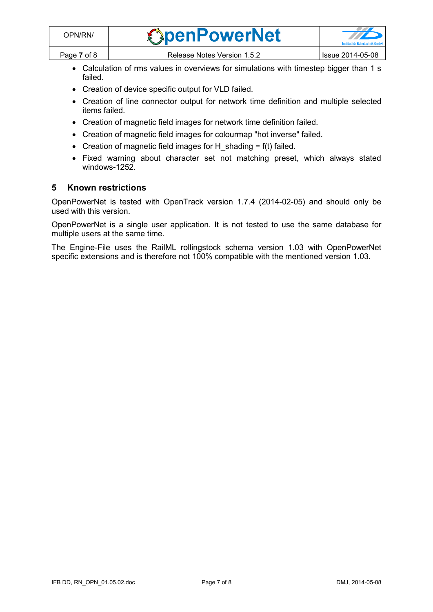| OPN/RN/     | <b><i><u>SpenPowerNet</u></i></b> |                  |
|-------------|-----------------------------------|------------------|
| Page 7 of 8 | Release Notes Version 1.5.2       | Issue 2014-05-08 |

- Calculation of rms values in overviews for simulations with timestep bigger than 1 s failed.
- Creation of device specific output for VLD failed.
- Creation of line connector output for network time definition and multiple selected items failed.
- Creation of magnetic field images for network time definition failed.
- Creation of magnetic field images for colourmap "hot inverse" failed.
- Creation of magnetic field images for H\_shading =  $f(t)$  failed.
- Fixed warning about character set not matching preset, which always stated windows-1252.

#### **5 Known restrictions**

OpenPowerNet is tested with OpenTrack version 1.7.4 (2014-02-05) and should only be used with this version.

OpenPowerNet is a single user application. It is not tested to use the same database for multiple users at the same time.

The Engine-File uses the RailML rollingstock schema version 1.03 with OpenPowerNet specific extensions and is therefore not 100% compatible with the mentioned version 1.03.